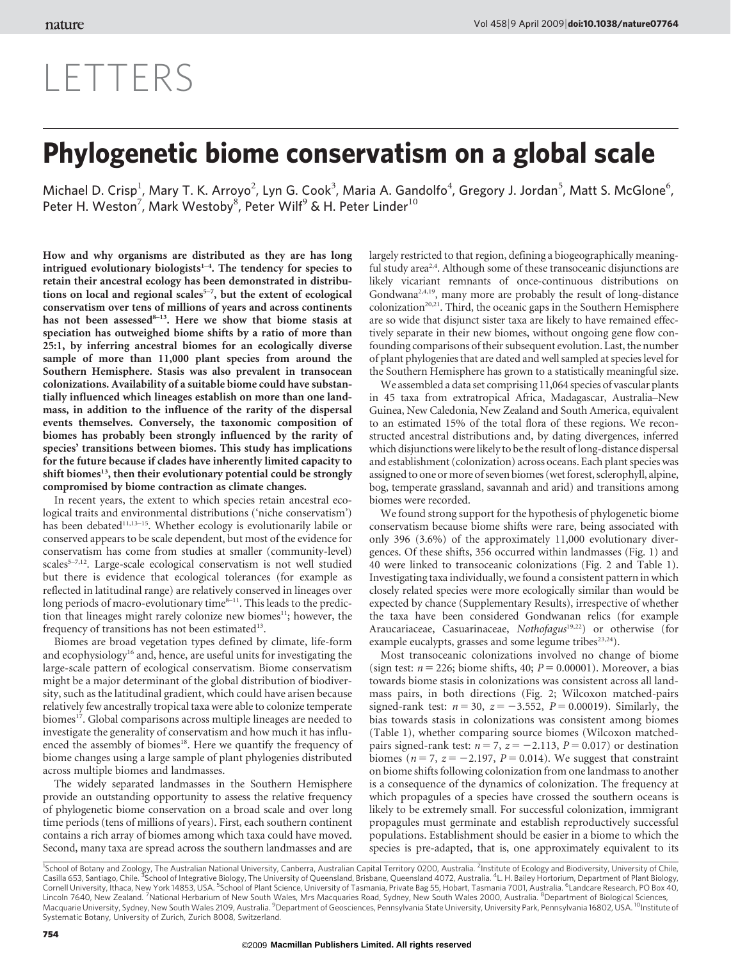#### Vol 458 9 April 2009 | [doi:10.1038/nature07764](www.nature.com/doifinder/10.1038/nature07764)

# LETTERS

## Phylogenetic biome conservatism on a global scale

Michael D. Crisp<sup>1</sup>, Mary T. K. Arroyo<sup>2</sup>, Lyn G. Cook<sup>3</sup>, Maria A. Gandolfo<sup>4</sup>, Gregory J. Jordan<sup>5</sup>, Matt S. McGlone<sup>6</sup>, Peter H. Weston<sup>7</sup>, Mark Westoby<sup>8</sup>, Peter Wilf<sup>9</sup> & H. Peter Linder<sup>10</sup>

How and why organisms are distributed as they are has long intrigued evolutionary biologists<sup>1-4</sup>. The tendency for species to retain their ancestral ecology has been demonstrated in distributions on local and regional scales<sup>5-7</sup>, but the extent of ecological conservatism over tens of millions of years and across continents has not been assessed<sup>8-13</sup>. Here we show that biome stasis at speciation has outweighed biome shifts by a ratio of more than 25:1, by inferring ancestral biomes for an ecologically diverse sample of more than 11,000 plant species from around the Southern Hemisphere. Stasis was also prevalent in transocean colonizations. Availability of a suitable biome could have substantially influenced which lineages establish on more than one landmass, in addition to the influence of the rarity of the dispersal events themselves. Conversely, the taxonomic composition of biomes has probably been strongly influenced by the rarity of species' transitions between biomes. This study has implications for the future because if clades have inherently limited capacity to shift biomes<sup>13</sup>, then their evolutionary potential could be strongly compromised by biome contraction as climate changes.

In recent years, the extent to which species retain ancestral ecological traits and environmental distributions ('niche conservatism') has been debated<sup>11,13-15</sup>. Whether ecology is evolutionarily labile or conserved appears to be scale dependent, but most of the evidence for conservatism has come from studies at smaller (community-level) scales<sup>5-7,12</sup>. Large-scale ecological conservatism is not well studied but there is evidence that ecological tolerances (for example as reflected in latitudinal range) are relatively conserved in lineages over long periods of macro-evolutionary time $8-11$ . This leads to the prediction that lineages might rarely colonize new biomes<sup>11</sup>; however, the frequency of transitions has not been estimated<sup>13</sup>.

Biomes are broad vegetation types defined by climate, life-form and ecophysiology<sup>16</sup> and, hence, are useful units for investigating the large-scale pattern of ecological conservatism. Biome conservatism might be a major determinant of the global distribution of biodiversity, such as the latitudinal gradient, which could have arisen because relatively few ancestrally tropical taxa were able to colonize temperate biomes<sup>17</sup>. Global comparisons across multiple lineages are needed to investigate the generality of conservatism and how much it has influenced the assembly of biomes<sup>18</sup>. Here we quantify the frequency of biome changes using a large sample of plant phylogenies distributed across multiple biomes and landmasses.

The widely separated landmasses in the Southern Hemisphere provide an outstanding opportunity to assess the relative frequency of phylogenetic biome conservation on a broad scale and over long time periods (tens of millions of years). First, each southern continent contains a rich array of biomes among which taxa could have moved. Second, many taxa are spread across the southern landmasses and are

largely restricted to that region, defining a biogeographically meaningful study area<sup>2,4</sup>. Although some of these transoceanic disjunctions are likely vicariant remnants of once-continuous distributions on Gondwana2,4,19, many more are probably the result of long-distance colonization<sup>20,21</sup>. Third, the oceanic gaps in the Southern Hemisphere are so wide that disjunct sister taxa are likely to have remained effectively separate in their new biomes, without ongoing gene flow confounding comparisons of their subsequent evolution. Last, the number of plant phylogenies that are dated and well sampled at species level for the Southern Hemisphere has grown to a statistically meaningful size.

We assembled a data set comprising 11,064 species of vascular plants in 45 taxa from extratropical Africa, Madagascar, Australia–New Guinea, New Caledonia, New Zealand and South America, equivalent to an estimated 15% of the total flora of these regions. We reconstructed ancestral distributions and, by dating divergences, inferred which disjunctionswere likely to be the result of long-distance dispersal and establishment (colonization) across oceans. Each plant species was assigned to one or more of seven biomes (wet forest, sclerophyll, alpine, bog, temperate grassland, savannah and arid) and transitions among biomes were recorded.

We found strong support for the hypothesis of phylogenetic biome conservatism because biome shifts were rare, being associated with only 396 (3.6%) of the approximately 11,000 evolutionary divergences. Of these shifts, 356 occurred within landmasses (Fig. 1) and 40 were linked to transoceanic colonizations (Fig. 2 and Table 1). Investigating taxa individually, we found a consistent pattern in which closely related species were more ecologically similar than would be expected by chance (Supplementary Results), irrespective of whether the taxa have been considered Gondwanan relics (for example Araucariaceae, Casuarinaceae, Nothofagus<sup>19,22</sup>) or otherwise (for example eucalypts, grasses and some legume tribes<sup>23,24</sup>).

Most transoceanic colonizations involved no change of biome (sign test:  $n = 226$ ; biome shifts, 40;  $P = 0.00001$ ). Moreover, a bias towards biome stasis in colonizations was consistent across all landmass pairs, in both directions (Fig. 2; Wilcoxon matched-pairs signed-rank test:  $n = 30$ ,  $z = -3.552$ ,  $P = 0.00019$ ). Similarly, the bias towards stasis in colonizations was consistent among biomes (Table 1), whether comparing source biomes (Wilcoxon matchedpairs signed-rank test:  $n = 7$ ,  $z = -2.113$ ,  $P = 0.017$ ) or destination biomes ( $n = 7$ ,  $z = -2.197$ ,  $P = 0.014$ ). We suggest that constraint on biome shifts following colonization from one landmass to another is a consequence of the dynamics of colonization. The frequency at which propagules of a species have crossed the southern oceans is likely to be extremely small. For successful colonization, immigrant propagules must germinate and establish reproductively successful populations. Establishment should be easier in a biome to which the species is pre-adapted, that is, one approximately equivalent to its

<sup>1</sup>School of Botany and Zoology, The Australian National University, Canberra, Australian Capital Territory 0200, Australia. <sup>2</sup>Institute of Ecology and Biodiversity, University of Chile,<br>Casilla 653, Santiago, Chile. <sup>3</sup>S Cornell University, Ithaca, New York 14853, USA. <sup>5</sup>School of Plant Science, University of Tasmania, Private Bag 55, Hobart, Tasmania 7001, Australia. <sup>6</sup>Landcare Research, PO Box 40, Lincoln 7640, New Zealand. <sup>7</sup>National Herbarium of New South Wales, Mrs Macquaries Road, Sydney, New South Wales 2000, Australia. <sup>8</sup>Department of Biological Sciences,<br>Macquarie University, Sydney, New South Wales 2109, A Systematic Botany, University of Zurich, Zurich 8008, Switzerland.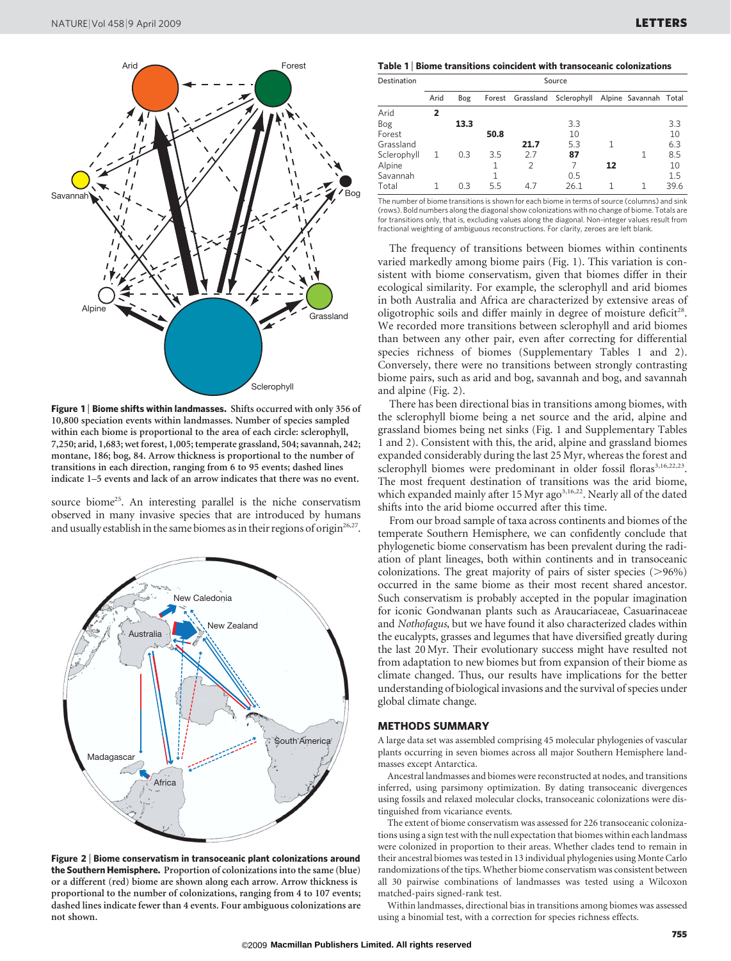

Figure 1 | Biome shifts within landmasses. Shifts occurred with only 356 of 10,800 speciation events within landmasses. Number of species sampled within each biome is proportional to the area of each circle: sclerophyll, 7,250; arid, 1,683; wet forest, 1,005; temperate grassland, 504; savannah, 242; montane, 186; bog, 84. Arrow thickness is proportional to the number of transitions in each direction, ranging from 6 to 95 events; dashed lines indicate 1–5 events and lack of an arrow indicates that there was no event.

source biome<sup>25</sup>. An interesting parallel is the niche conservatism observed in many invasive species that are introduced by humans and usually establish in the same biomes as in their regions of origin<sup>26,27</sup>.



Figure 2 <sup>|</sup> Biome conservatism in transoceanic plant colonizations around the Southern Hemisphere. Proportion of colonizations into the same (blue) or a different (red) biome are shown along each arrow. Arrow thickness is proportional to the number of colonizations, ranging from 4 to 107 events; dashed lines indicate fewer than 4 events. Four ambiguous colonizations are not shown.

Table 1 <sup>|</sup> Biome transitions coincident with transoceanic colonizations

| Destination |      |      |      | Source |                              |    |                       |      |
|-------------|------|------|------|--------|------------------------------|----|-----------------------|------|
|             | Arid | Bog  |      |        | Forest Grassland Sclerophyll |    | Alpine Savannah Total |      |
| Arid        | 2    |      |      |        |                              |    |                       |      |
| Bog         |      | 13.3 |      |        | 3.3                          |    |                       | 3.3  |
| Forest      |      |      | 50.8 |        | 10                           |    |                       | 10   |
| Grassland   |      |      |      | 21.7   | 5.3                          |    |                       | 6.3  |
| Sclerophyll | 1    | 0.3  | 3.5  | 2.7    | 87                           |    | 1                     | 8.5  |
| Alpine      |      |      | 1    | 2      | 7                            | 12 |                       | 10   |
| Savannah    |      |      |      |        | 0.5                          |    |                       | 1.5  |
| Total       |      | 0.3  | 5.5  | 47     | 26.1                         |    |                       | 39.6 |

The number of biome transitions is shown for each biome in terms of source (columns) and sink (rows). Bold numbers along the diagonal show colonizations with no change of biome. Totals are for transitions only, that is, excluding values along the diagonal. Non-integer values result from fractional weighting of ambiguous reconstructions. For clarity, zeroes are left blank.

The frequency of transitions between biomes within continents varied markedly among biome pairs (Fig. 1). This variation is consistent with biome conservatism, given that biomes differ in their ecological similarity. For example, the sclerophyll and arid biomes in both Australia and Africa are characterized by extensive areas of oligotrophic soils and differ mainly in degree of moisture deficit<sup>28</sup>. We recorded more transitions between sclerophyll and arid biomes than between any other pair, even after correcting for differential species richness of biomes (Supplementary Tables 1 and 2). Conversely, there were no transitions between strongly contrasting biome pairs, such as arid and bog, savannah and bog, and savannah and alpine (Fig. 2).

There has been directional bias in transitions among biomes, with the sclerophyll biome being a net source and the arid, alpine and grassland biomes being net sinks (Fig. 1 and Supplementary Tables 1 and 2). Consistent with this, the arid, alpine and grassland biomes expanded considerably during the last 25 Myr, whereas the forest and sclerophyll biomes were predominant in older fossil floras<sup>3,16,22,23</sup>. The most frequent destination of transitions was the arid biome, which expanded mainly after 15 Myr ago<sup>3,16,22</sup>. Nearly all of the dated shifts into the arid biome occurred after this time.

From our broad sample of taxa across continents and biomes of the temperate Southern Hemisphere, we can confidently conclude that phylogenetic biome conservatism has been prevalent during the radiation of plant lineages, both within continents and in transoceanic colonizations. The great majority of pairs of sister species  $(>\!\!>$ 96%) occurred in the same biome as their most recent shared ancestor. Such conservatism is probably accepted in the popular imagination for iconic Gondwanan plants such as Araucariaceae, Casuarinaceae and Nothofagus, but we have found it also characterized clades within the eucalypts, grasses and legumes that have diversified greatly during the last 20Myr. Their evolutionary success might have resulted not from adaptation to new biomes but from expansion of their biome as climate changed. Thus, our results have implications for the better understanding of biological invasions and the survival of species under global climate change.

### METHODS SUMMARY

A large data set was assembled comprising 45 molecular phylogenies of vascular plants occurring in seven biomes across all major Southern Hemisphere landmasses except Antarctica.

Ancestral landmasses and biomes were reconstructed at nodes, and transitions inferred, using parsimony optimization. By dating transoceanic divergences using fossils and relaxed molecular clocks, transoceanic colonizations were distinguished from vicariance events.

The extent of biome conservatism was assessed for 226 transoceanic colonizations using a sign test with the null expectation that biomes within each landmass were colonized in proportion to their areas. Whether clades tend to remain in their ancestral biomes was tested in 13 individual phylogenies using Monte Carlo randomizations of the tips. Whether biome conservatism was consistent between all 30 pairwise combinations of landmasses was tested using a Wilcoxon matched-pairs signed-rank test.

Within landmasses, directional bias in transitions among biomes was assessed using a binomial test, with a correction for species richness effects.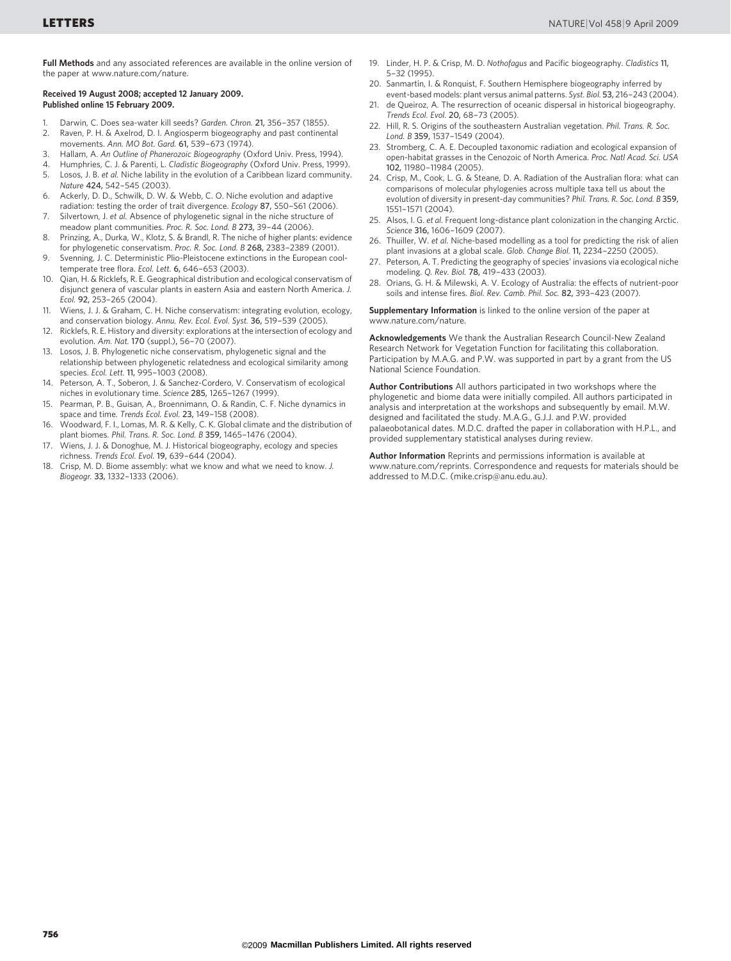Full Methods and any associated references are available in the online version of the paper at<www.nature.com/nature>.

#### Received 19 August 2008; accepted 12 January 2009. Published online 15 February 2009.

- 1. Darwin, C. Does sea-water kill seeds? Garden. Chron. 21, 356–357 (1855).<br>2. Raven P. H. & Axelrod, D. J. Angiosperm biogeography and past continent
- Raven, P. H. & Axelrod, D. I. Angiosperm biogeography and past continental movements. Ann. MO Bot. Gard. 61, 539–673 (1974).
- 3. Hallam, A. An Outline of Phanerozoic Biogeography (Oxford Univ. Press, 1994).
- 4. Humphries, C. J. & Parenti, L. Cladistic Biogeography (Oxford Univ. Press, 1999).
- 5. Losos, J. B. et al. Niche lability in the evolution of a Caribbean lizard community. Nature 424, 542–545 (2003).
- 6. Ackerly, D. D., Schwilk, D. W. & Webb, C. O. Niche evolution and adaptive radiation: testing the order of trait divergence. Ecology 87, S50–S61 (2006).
- 7. Silvertown, J. et al. Absence of phylogenetic signal in the niche structure of meadow plant communities. Proc. R. Soc. Lond. B 273, 39–44 (2006).
- 8. Prinzing, A., Durka, W., Klotz, S. & Brandl, R. The niche of higher plants: evidence for phylogenetic conservatism. Proc. R. Soc. Lond. B 268, 2383–2389 (2001).
- 9. Svenning, J. C. Deterministic Plio-Pleistocene extinctions in the European cooltemperate tree flora. Ecol. Lett. 6, 646–653 (2003).
- 10. Qian, H. & Ricklefs, R. E. Geographical distribution and ecological conservatism of disjunct genera of vascular plants in eastern Asia and eastern North America. J. Ecol. 92, 253–265 (2004).
- 11. Wiens, J. J. & Graham, C. H. Niche conservatism: integrating evolution, ecology, and conservation biology. Annu. Rev. Ecol. Evol. Syst. 36, 519–539 (2005).
- 12. Ricklefs, R. E. History and diversity: explorations at the intersection of ecology and evolution. Am. Nat. 170 (suppl.), 56–70 (2007).
- 13. Losos, J. B. Phylogenetic niche conservatism, phylogenetic signal and the relationship between phylogenetic relatedness and ecological similarity among species. Ecol. Lett. 11, 995–1003 (2008).
- 14. Peterson, A. T., Soberon, J. & Sanchez-Cordero, V. Conservatism of ecological niches in evolutionary time. Science 285, 1265–1267 (1999).
- 15. Pearman, P. B., Guisan, A., Broennimann, O. & Randin, C. F. Niche dynamics in space and time. Trends Ecol. Evol. 23, 149–158 (2008).
- 16. Woodward, F. I., Lomas, M. R. & Kelly, C. K. Global climate and the distribution of plant biomes. Phil. Trans. R. Soc. Lond. B 359, 1465–1476 (2004).
- Wiens, J. J. & Donoghue, M. J. Historical biogeography, ecology and species richness. Trends Ecol. Evol. 19, 639–644 (2004).
- 18. Crisp, M. D. Biome assembly: what we know and what we need to know. J. Biogeogr. 33, 1332–1333 (2006).
- 19. Linder, H. P. & Crisp, M. D. Nothofagus and Pacific biogeography. Cladistics 11, 5–32 (1995).
- 20. Sanmartín, I. & Ronquist, F. Southern Hemisphere biogeography inferred by
- event-based models: plant versus animal patterns. Syst. Biol. 53, 216–243 (2004). 21. de Queiroz, A. The resurrection of oceanic dispersal in historical biogeography. Trends Ecol. Evol. 20, 68–73 (2005).
- 22. Hill, R. S. Origins of the southeastern Australian vegetation. Phil. Trans. R. Soc. Lond. B 359, 1537–1549 (2004).
- 23. Stromberg, C. A. E. Decoupled taxonomic radiation and ecological expansion of open-habitat grasses in the Cenozoic of North America. Proc. Natl Acad. Sci. USA 102, 11980–11984 (2005).
- 24. Crisp, M., Cook, L. G. & Steane, D. A. Radiation of the Australian flora: what can comparisons of molecular phylogenies across multiple taxa tell us about the evolution of diversity in present-day communities? Phil. Trans. R. Soc. Lond. B 359, 1551–1571 (2004).
- 25. Alsos, I. G. et al. Frequent long-distance plant colonization in the changing Arctic. Science 316, 1606–1609 (2007).
- 26. Thuiller, W. et al. Niche-based modelling as a tool for predicting the risk of alien plant invasions at a global scale. Glob. Change Biol. 11, 2234–2250 (2005).
- 27. Peterson, A. T. Predicting the geography of species' invasions via ecological niche modeling. Q. Rev. Biol. 78, 419–433 (2003).
- 28. Orians, G. H. & Milewski, A. V. Ecology of Australia: the effects of nutrient-poor soils and intense fires. Biol. Rev. Camb. Phil. Soc. 82, 393–423 (2007).

Supplementary Information is linked to the online version of the paper at <www.nature.com/nature>.

Acknowledgements We thank the Australian Research Council-New Zealand Research Network for Vegetation Function for facilitating this collaboration. Participation by M.A.G. and P.W. was supported in part by a grant from the US National Science Foundation.

Author Contributions All authors participated in two workshops where the phylogenetic and biome data were initially compiled. All authors participated in analysis and interpretation at the workshops and subsequently by email. M.W. designed and facilitated the study. M.A.G., G.J.J. and P.W. provided palaeobotanical dates. M.D.C. drafted the paper in collaboration with H.P.L., and provided supplementary statistical analyses during review.

Author Information Reprints and permissions information is available at <www.nature.com/reprints>. Correspondence and requests for materials should be addressed to M.D.C. [\(mike.crisp@anu.edu.au\).](mailto:mike.crisp@anu.edu.au)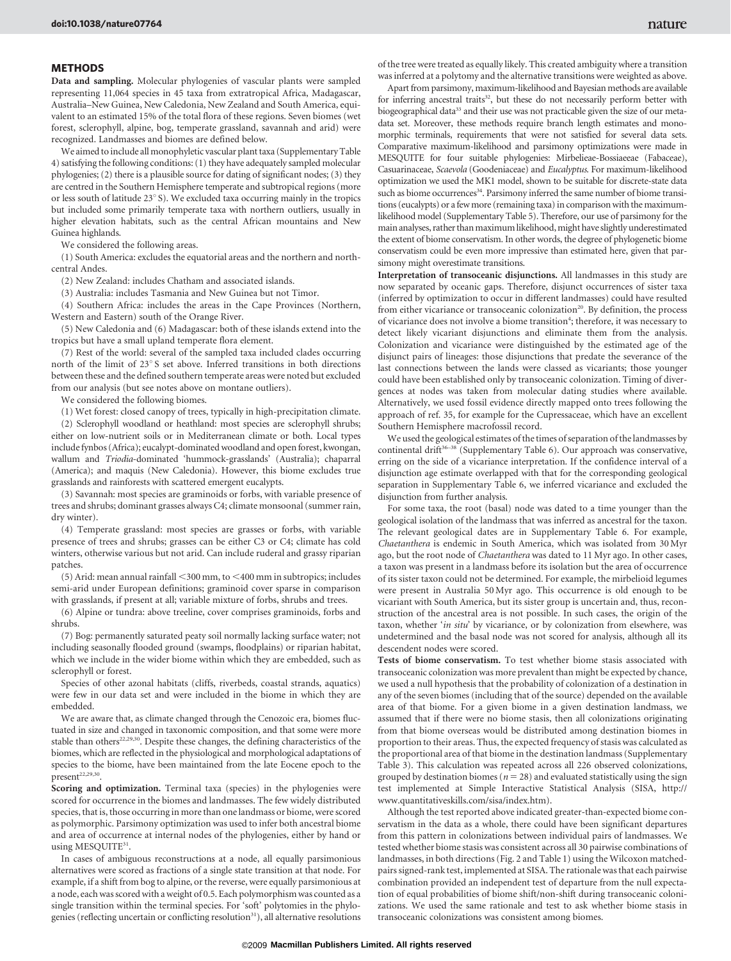### **METHODS**

Data and sampling. Molecular phylogenies of vascular plants were sampled representing 11,064 species in 45 taxa from extratropical Africa, Madagascar, Australia–New Guinea, New Caledonia, New Zealand and South America, equivalent to an estimated 15% of the total flora of these regions. Seven biomes (wet forest, sclerophyll, alpine, bog, temperate grassland, savannah and arid) were recognized. Landmasses and biomes are defined below.

We aimed to include all monophyletic vascular plant taxa (Supplementary Table 4) satisfying the following conditions: (1) they have adequately sampled molecular phylogenies; (2) there is a plausible source for dating of significant nodes; (3) they are centred in the Southern Hemisphere temperate and subtropical regions (more or less south of latitude  $23^{\circ}$  S). We excluded taxa occurring mainly in the tropics but included some primarily temperate taxa with northern outliers, usually in higher elevation habitats, such as the central African mountains and New Guinea highlands.

We considered the following areas.

(1) South America: excludes the equatorial areas and the northern and northcentral Andes.

(2) New Zealand: includes Chatham and associated islands.

(3) Australia: includes Tasmania and New Guinea but not Timor.

(4) Southern Africa: includes the areas in the Cape Provinces (Northern, Western and Eastern) south of the Orange River.

(5) New Caledonia and (6) Madagascar: both of these islands extend into the tropics but have a small upland temperate flora element.

(7) Rest of the world: several of the sampled taxa included clades occurring north of the limit of  $23^{\circ}$ S set above. Inferred transitions in both directions between these and the defined southern temperate areas were noted but excluded from our analysis (but see notes above on montane outliers).

We considered the following biomes.

(1) Wet forest: closed canopy of trees, typically in high-precipitation climate.

(2) Sclerophyll woodland or heathland: most species are sclerophyll shrubs; either on low-nutrient soils or in Mediterranean climate or both. Local types include fynbos (Africa); eucalypt-dominated woodland and open forest, kwongan, wallum and Triodia-dominated 'hummock-grasslands' (Australia); chaparral (America); and maquis (New Caledonia). However, this biome excludes true grasslands and rainforests with scattered emergent eucalypts.

(3) Savannah: most species are graminoids or forbs, with variable presence of trees and shrubs; dominant grasses always C4; climate monsoonal (summer rain, dry winter).

(4) Temperate grassland: most species are grasses or forbs, with variable presence of trees and shrubs; grasses can be either C3 or C4; climate has cold winters, otherwise various but not arid. Can include ruderal and grassy riparian patches.

(5) Arid: mean annual rainfall  $<$ 300 mm, to  $<$ 400 mm in subtropics; includes semi-arid under European definitions; graminoid cover sparse in comparison with grasslands, if present at all; variable mixture of forbs, shrubs and trees.

(6) Alpine or tundra: above treeline, cover comprises graminoids, forbs and shrubs.

(7) Bog: permanently saturated peaty soil normally lacking surface water; not including seasonally flooded ground (swamps, floodplains) or riparian habitat, which we include in the wider biome within which they are embedded, such as sclerophyll or forest.

Species of other azonal habitats (cliffs, riverbeds, coastal strands, aquatics) were few in our data set and were included in the biome in which they are embedded.

We are aware that, as climate changed through the Cenozoic era, biomes fluctuated in size and changed in taxonomic composition, and that some were more stable than others<sup>22,29,30</sup>. Despite these changes, the defining characteristics of the biomes, which are reflected in the physiological and morphological adaptations of species to the biome, have been maintained from the late Eocene epoch to the  $present<sup>22,29,30</sup>$ .

Scoring and optimization. Terminal taxa (species) in the phylogenies were scored for occurrence in the biomes and landmasses. The few widely distributed species, that is, those occurring in more than one landmass or biome, were scored as polymorphic. Parsimony optimization was used to infer both ancestral biome and area of occurrence at internal nodes of the phylogenies, either by hand or using MESQUITE<sup>31</sup>.

In cases of ambiguous reconstructions at a node, all equally parsimonious alternatives were scored as fractions of a single state transition at that node. For example, if a shift from bog to alpine, or the reverse, were equally parsimonious at a node, each was scored with a weight of 0.5. Each polymorphism was counted as a single transition within the terminal species. For 'soft' polytomies in the phylogenies (reflecting uncertain or conflicting resolution<sup>31</sup>), all alternative resolutions of the tree were treated as equally likely. This created ambiguity where a transition was inferred at a polytomy and the alternative transitions were weighted as above.

Apart from parsimony, maximum-likelihood and Bayesian methods are available for inferring ancestral traits<sup>32</sup>, but these do not necessarily perform better with biogeographical data<sup>33</sup> and their use was not practicable given the size of our metadata set. Moreover, these methods require branch length estimates and monomorphic terminals, requirements that were not satisfied for several data sets. Comparative maximum-likelihood and parsimony optimizations were made in MESQUITE for four suitable phylogenies: Mirbelieae-Bossiaeeae (Fabaceae), Casuarinaceae, Scaevola (Goodeniaceae) and Eucalyptus. For maximum-likelihood optimization we used the MK1 model, shown to be suitable for discrete-state data such as biome occurrences<sup>34</sup>. Parsimony inferred the same number of biome transitions (eucalypts) or afew more (remaining taxa) in comparison with the maximumlikelihood model (Supplementary Table 5). Therefore, our use of parsimony for the main analyses, rather than maximum likelihood, might have slightly underestimated the extent of biome conservatism. In other words, the degree of phylogenetic biome conservatism could be even more impressive than estimated here, given that parsimony might overestimate transitions.

Interpretation of transoceanic disjunctions. All landmasses in this study are now separated by oceanic gaps. Therefore, disjunct occurrences of sister taxa (inferred by optimization to occur in different landmasses) could have resulted from either vicariance or transoceanic colonization<sup>20</sup>. By definition, the process of vicariance does not involve a biome transition<sup>4</sup>; therefore, it was necessary to detect likely vicariant disjunctions and eliminate them from the analysis. Colonization and vicariance were distinguished by the estimated age of the disjunct pairs of lineages: those disjunctions that predate the severance of the last connections between the lands were classed as vicariants; those younger could have been established only by transoceanic colonization. Timing of divergences at nodes was taken from molecular dating studies where available. Alternatively, we used fossil evidence directly mapped onto trees following the approach of ref. 35, for example for the Cupressaceae, which have an excellent Southern Hemisphere macrofossil record.

We used the geological estimates of the times of separation of the landmasses by continental drift $36-38$  (Supplementary Table 6). Our approach was conservative, erring on the side of a vicariance interpretation. If the confidence interval of a disjunction age estimate overlapped with that for the corresponding geological separation in Supplementary Table 6, we inferred vicariance and excluded the disjunction from further analysis.

For some taxa, the root (basal) node was dated to a time younger than the geological isolation of the landmass that was inferred as ancestral for the taxon. The relevant geological dates are in Supplementary Table 6. For example, Chaetanthera is endemic in South America, which was isolated from 30 Myr ago, but the root node of Chaetanthera was dated to 11 Myr ago. In other cases, a taxon was present in a landmass before its isolation but the area of occurrence of its sister taxon could not be determined. For example, the mirbelioid legumes were present in Australia 50 Myr ago. This occurrence is old enough to be vicariant with South America, but its sister group is uncertain and, thus, reconstruction of the ancestral area is not possible. In such cases, the origin of the taxon, whether 'in situ' by vicariance, or by colonization from elsewhere, was undetermined and the basal node was not scored for analysis, although all its descendent nodes were scored.

Tests of biome conservatism. To test whether biome stasis associated with transoceanic colonization was more prevalent than might be expected by chance, we used a null hypothesis that the probability of colonization of a destination in any of the seven biomes (including that of the source) depended on the available area of that biome. For a given biome in a given destination landmass, we assumed that if there were no biome stasis, then all colonizations originating from that biome overseas would be distributed among destination biomes in proportion to their areas. Thus, the expected frequency of stasis was calculated as the proportional area of that biome in the destination landmass (Supplementary Table 3). This calculation was repeated across all 226 observed colonizations, grouped by destination biomes ( $n = 28$ ) and evaluated statistically using the sign test implemented at Simple Interactive Statistical Analysis (SISA, [http://](http://www.quantitativeskills.com/sisa/index.htm) [www.quantitativeskills.com/sisa/index.htm\)](http://www.quantitativeskills.com/sisa/index.htm).

Although the test reported above indicated greater-than-expected biome conservatism in the data as a whole, there could have been significant departures from this pattern in colonizations between individual pairs of landmasses. We tested whether biome stasis was consistent across all 30 pairwise combinations of landmasses, in both directions (Fig. 2 and Table 1) using the Wilcoxon matchedpairs signed-rank test, implemented at SISA. The rationale was that each pairwise combination provided an independent test of departure from the null expectation of equal probabilities of biome shift/non-shift during transoceanic colonizations. We used the same rationale and test to ask whether biome stasis in transoceanic colonizations was consistent among biomes.